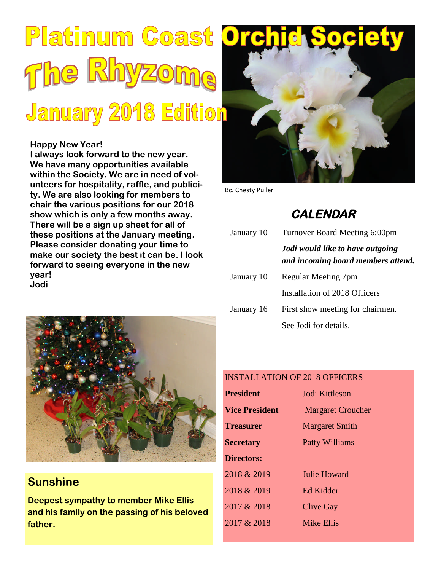# Platinum Coast Orch The Rhyzome **January 2018 Edition**

#### **Happy New Year!**

**I always look forward to the new year. We have many opportunities available within the Society. We are in need of volunteers for hospitality, raffle, and publicity. We are also looking for members to chair the various positions for our 2018 show which is only a few months away. There will be a sign up sheet for all of these positions at the January meeting. Please consider donating your time to make our society the best it can be. I look forward to seeing everyone in the new year! Jodi**



Bc. Chesty Puller

### **CALENDAR**

| January 10 | Turnover Board Meeting 6:00pm                                          |  |
|------------|------------------------------------------------------------------------|--|
|            | Jodi would like to have outgoing<br>and incoming board members attend. |  |
| January 10 | Regular Meeting 7pm                                                    |  |
|            | Installation of 2018 Officers                                          |  |
| January 16 | First show meeting for chairmen.                                       |  |
|            | See Jodi for details.                                                  |  |



#### **Sunshine**

**Deepest sympathy to member Mike Ellis and his family on the passing of his beloved father.**

#### INSTALLATION OF 2018 OFFICERS

| <b>President</b>      | Jodi Kittleson           |
|-----------------------|--------------------------|
| <b>Vice President</b> | <b>Margaret Croucher</b> |
| <b>Treasurer</b>      | <b>Margaret Smith</b>    |
| <b>Secretary</b>      | <b>Patty Williams</b>    |
| <b>Directors:</b>     |                          |
| 2018 & 2019           | Julie Howard             |
| 2018 & 2019           | Ed Kidder                |
| 2017 & 2018           | <b>Clive Gay</b>         |
| 2017 & 2018           | <b>Mike Ellis</b>        |
|                       |                          |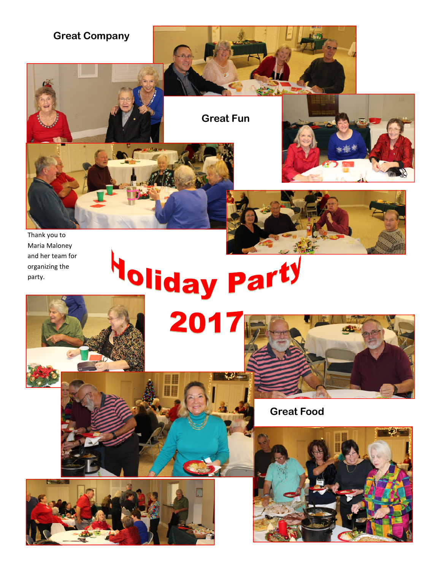

Thank you to Maria Maloney and her team for organizing the party.

# Noliday Party 2017





**Great Food**



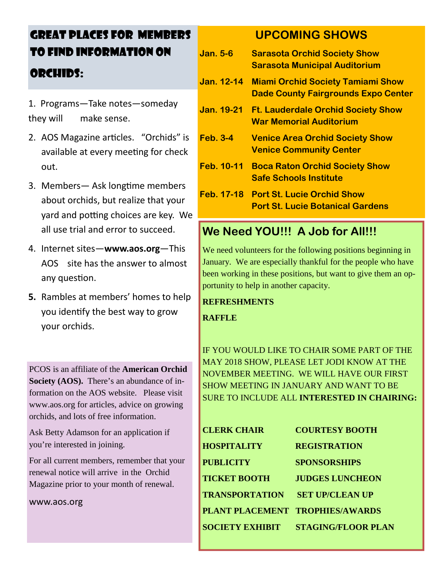## GREAT PLACES FOR MEMBERS TO FIND INFORMATION ON ORCHIDS:

- 1. Programs—Take notes—someday they will make sense.
- 2. AOS Magazine articles. "Orchids" is available at every meeting for check out.
- 3. Members— Ask longtime members about orchids, but realize that your yard and potting choices are key. We all use trial and error to succeed.
- 4. Internet sites—**www.aos.org**—This AOS site has the answer to almost any question.
- **5.** Rambles at members' homes to help you identify the best way to grow your orchids.

PCOS is an affiliate of the **American Orchid Society (AOS).** There's an abundance of information on the AOS website. Please visit www.aos.org for articles, advice on growing orchids, and lots of free information.

Ask Betty Adamson for an application if you're interested in joining.

For all current members, remember that your renewal notice will arrive in the Orchid Magazine prior to your month of renewal.

www.aos.org

#### **UPCOMING SHOWS**

**Jan. 5-6 Sarasota Orchid Society Show Sarasota Municipal Auditorium Jan. 12-14 Miami Orchid Society Tamiami Show Dade County Fairgrounds Expo Center Jan. 19-21 Ft. Lauderdale Orchid Society Show War Memorial Auditorium Feb. 3-4 Venice Area Orchid Society Show Venice Community Center Feb. 10-11 Boca Raton Orchid Society Show Safe Schools Institute Feb. 17-18 Port St. Lucie Orchid Show Port St. Lucie Botanical Gardens**

#### **We Need YOU!!! A Job for All!!!**

We need volunteers for the following positions beginning in January. We are especially thankful for the people who have been working in these positions, but want to give them an opportunity to help in another capacity.

#### **REFRESHMENTS**

**RAFFLE**

IF YOU WOULD LIKE TO CHAIR SOME PART OF THE MAY 2018 SHOW, PLEASE LET JODI KNOW AT THE NOVEMBER MEETING. WE WILL HAVE OUR FIRST SHOW MEETING IN JANUARY AND WANT TO BE SURE TO INCLUDE ALL **INTERESTED IN CHAIRING:**

| <b>CLERK CHAIR</b>              | <b>COURTESY BOOTH</b>     |
|---------------------------------|---------------------------|
| <b>HOSPITALITY</b>              | <b>REGISTRATION</b>       |
| <b>PUBLICITY</b>                | <b>SPONSORSHIPS</b>       |
| <b>TICKET BOOTH</b>             | <b>JUDGES LUNCHEON</b>    |
| <b>TRANSPORTATION</b>           | <b>SET UP/CLEAN UP</b>    |
| PLANT PLACEMENT TROPHIES/AWARDS |                           |
| <b>SOCIETY EXHIBIT</b>          | <b>STAGING/FLOOR PLAN</b> |